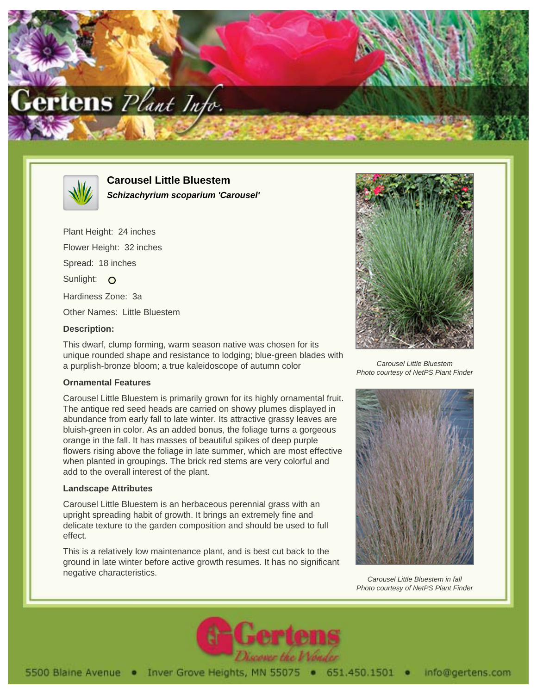



**Carousel Little Bluestem Schizachyrium scoparium 'Carousel'**

Plant Height: 24 inches Flower Height: 32 inches Spread: 18 inches Sunlight: O Hardiness Zone: 3a Other Names: Little Bluestem **Description:**

This dwarf, clump forming, warm season native was chosen for its unique rounded shape and resistance to lodging; blue-green blades with a purplish-bronze bloom; a true kaleidoscope of autumn color

## **Ornamental Features**

Carousel Little Bluestem is primarily grown for its highly ornamental fruit. The antique red seed heads are carried on showy plumes displayed in abundance from early fall to late winter. Its attractive grassy leaves are bluish-green in color. As an added bonus, the foliage turns a gorgeous orange in the fall. It has masses of beautiful spikes of deep purple flowers rising above the foliage in late summer, which are most effective when planted in groupings. The brick red stems are very colorful and add to the overall interest of the plant.

## **Landscape Attributes**

Carousel Little Bluestem is an herbaceous perennial grass with an upright spreading habit of growth. It brings an extremely fine and delicate texture to the garden composition and should be used to full effect.

This is a relatively low maintenance plant, and is best cut back to the ground in late winter before active growth resumes. It has no significant negative characteristics.



Carousel Little Bluestem Photo courtesy of NetPS Plant Finder



Carousel Little Bluestem in fall Photo courtesy of NetPS Plant Finder